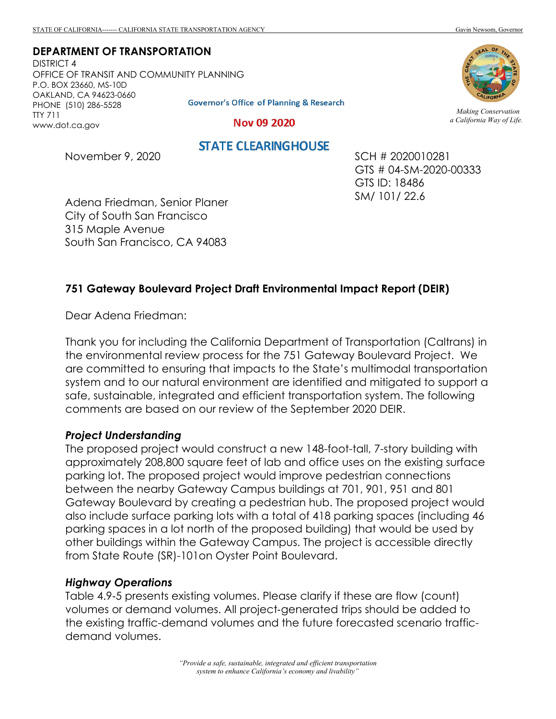**DEPARTMENT OF TRANSPORTATION** DISTRICT 4

OFFICE OF TRANSIT AND COMMUNITY PLANNING P.O. BOX 23660, MS-10D OAKLAND, CA 94623-0660 PHONE (510) 286-5528 TTY 711 www.dot.ca.gov

**Governor's Office of Planning & Research** 

Nov 09 2020

November 9, 2020

**STATE CLEARINGHOUSE** 

SCH # 2020010281 GTS # 04-SM-2020-00333 GTS ID: 18486 SM/ 101/ 22.6

Adena Friedman, Senior Planer City of South San Francisco 315 Maple Avenue South San Francisco, CA 94083

## **751 Gateway Boulevard Project Draft Environmental Impact Report (DEIR)**

Dear Adena Friedman:

Thank you for including the California Department of Transportation (Caltrans) in the environmental review process for the 751 Gateway Boulevard Project. We are committed to ensuring that impacts to the State's multimodal transportation system and to our natural environment are identified and mitigated to support a safe, sustainable, integrated and efficient transportation system. The following comments are based on our review of the September 2020 DEIR.

## *Project Understanding*

The proposed project would construct a new 148-foot-tall, 7-story building with approximately 208,800 square feet of lab and office uses on the existing surface parking lot. The proposed project would improve pedestrian connections between the nearby Gateway Campus buildings at 701, 901, 951 and 801 Gateway Boulevard by creating a pedestrian hub. The proposed project would also include surface parking lots with a total of 418 parking spaces (including 46 parking spaces in a lot north of the proposed building) that would be used by other buildings within the Gateway Campus. The project is accessible directly from State Route (SR)-101on Oyster Point Boulevard.

## *Highway Operations*

Table 4.9‐5 presents existing volumes. Please clarify if these are flow (count) volumes or demand volumes. All project‐generated trips should be added to the existing traffic-demand volumes and the future forecasted scenario trafficdemand volumes.



*Making Conservation a California Way of Life.*